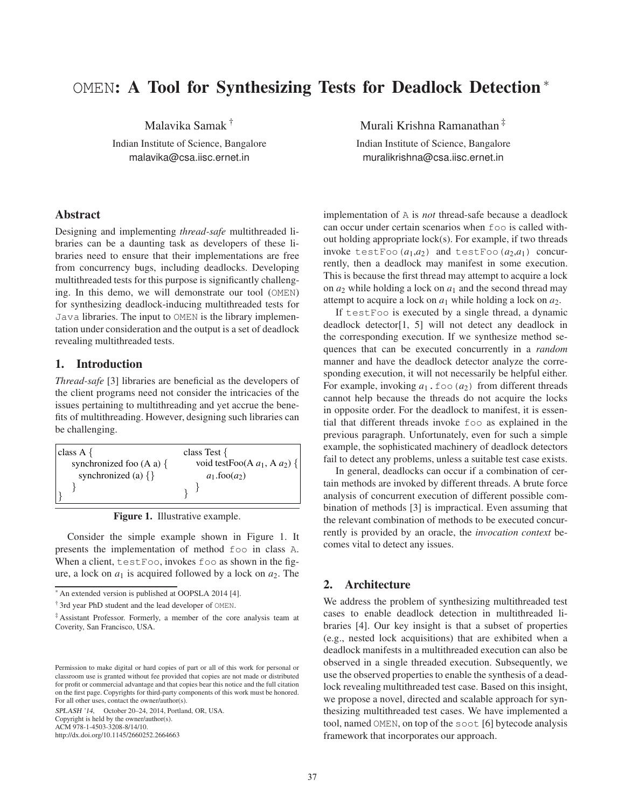# OMEN: A Tool for Synthesizing Tests for Deadlock Detection <sup>∗</sup>

Malavika Samak †

Indian Institute of Science, Bangalore malavika@csa.iisc.ernet.in

## Abstract

Designing and implementing *thread-safe* multithreaded libraries can be a daunting task as developers of these libraries need to ensure that their implementations are free from concurrency bugs, including deadlocks. Developing multithreaded tests for this purpose is significantly challenging. In this demo, we will demonstrate our tool (OMEN) for synthesizing deadlock-inducing multithreaded tests for Java libraries. The input to OMEN is the library implementation under consideration and the output is a set of deadlock revealing multithreaded tests.

## 1. Introduction

*Thread-safe* [3] libraries are beneficial as the developers of the client programs need not consider the intricacies of the issues pertaining to multithreading and yet accrue the benefits of multithreading. However, designing such libraries can be challenging.

| class $A \{$                | class Test $\{$                    |
|-----------------------------|------------------------------------|
| synchronized foo (A a) $\{$ | void testFoo(A $a_1$ , A $a_2$ ) { |
| synchronized (a) $\{\}$     | $a_1$ .foo $(a_2)$                 |
|                             |                                    |
|                             |                                    |



Consider the simple example shown in Figure 1. It presents the implementation of method foo in class A. When a client, testFoo, invokes foo as shown in the figure, a lock on  $a_1$  is acquired followed by a lock on  $a_2$ . The

<sup>∗</sup> An extended version is published at OOPSLA 2014 [4].

SPLASH '14, October 20–24, 2014, Portland, OR, USA. Copyright is held by the owner/author(s).

ACM 978-1-4503-3208-8/14/10.

http://dx.doi.org/10.1145/2660252.2664663

Murali Krishna Ramanathan ‡

Indian Institute of Science, Bangalore muralikrishna@csa.iisc.ernet.in

implementation of A is *not* thread-safe because a deadlock can occur under certain scenarios when foo is called without holding appropriate lock(s). For example, if two threads invoke testFoo $(a_1,a_2)$  and testFoo $(a_2,a_1)$  concurrently, then a deadlock may manifest in some execution. This is because the first thread may attempt to acquire a lock on  $a_2$  while holding a lock on  $a_1$  and the second thread may attempt to acquire a lock on  $a_1$  while holding a lock on  $a_2$ .

If testFoo is executed by a single thread, a dynamic deadlock detector[1, 5] will not detect any deadlock in the corresponding execution. If we synthesize method sequences that can be executed concurrently in a *random* manner and have the deadlock detector analyze the corresponding execution, it will not necessarily be helpful either. For example, invoking  $a_1$ . foo ( $a_2$ ) from different threads cannot help because the threads do not acquire the locks in opposite order. For the deadlock to manifest, it is essential that different threads invoke foo as explained in the previous paragraph. Unfortunately, even for such a simple example, the sophisticated machinery of deadlock detectors fail to detect any problems, unless a suitable test case exists.

In general, deadlocks can occur if a combination of certain methods are invoked by different threads. A brute force analysis of concurrent execution of different possible combination of methods [3] is impractical. Even assuming that the relevant combination of methods to be executed concurrently is provided by an oracle, the *invocation context* becomes vital to detect any issues.

### 2. Architecture

We address the problem of synthesizing multithreaded test cases to enable deadlock detection in multithreaded libraries [4]. Our key insight is that a subset of properties (e.g., nested lock acquisitions) that are exhibited when a deadlock manifests in a multithreaded execution can also be observed in a single threaded execution. Subsequently, we use the observed properties to enable the synthesis of a deadlock revealing multithreaded test case. Based on this insight, we propose a novel, directed and scalable approach for synthesizing multithreaded test cases. We have implemented a tool, named OMEN, on top of the soot [6] bytecode analysis framework that incorporates our approach.

<sup>†</sup> 3rd year PhD student and the lead developer of OMEN.

<sup>‡</sup> Assistant Professor. Formerly, a member of the core analysis team at Coverity, San Francisco, USA.

Permission to make digital or hard copies of part or all of this work for personal or classroom use is granted without fee provided that copies are not made or distributed for profit or commercial advantage and that copies bear this notice and the full citation on the first page. Copyrights for third-party components of this work must be honored. For all other uses, contact the owner/author(s).